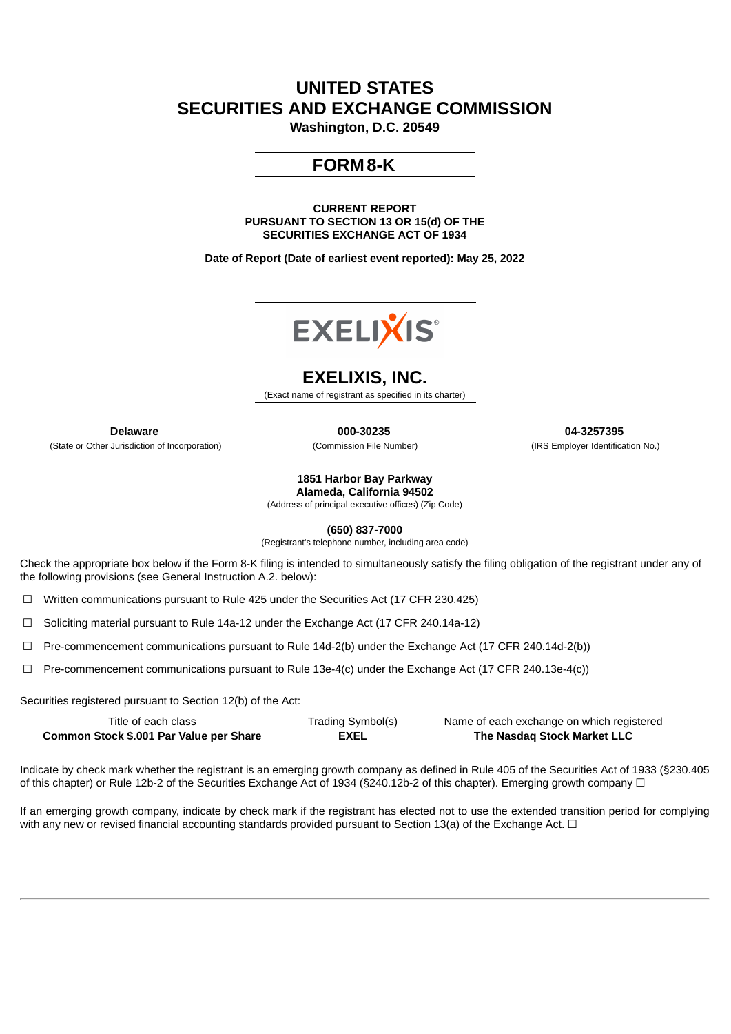# **UNITED STATES SECURITIES AND EXCHANGE COMMISSION**

**Washington, D.C. 20549**

## **FORM8-K**

**CURRENT REPORT PURSUANT TO SECTION 13 OR 15(d) OF THE SECURITIES EXCHANGE ACT OF 1934**

**Date of Report (Date of earliest event reported): May 25, 2022**



### **EXELIXIS, INC.**

(Exact name of registrant as specified in its charter)

(State or Other Jurisdiction of Incorporation) (Commission File Number) (IRS Employer Identification No.)

**Delaware 000-30235 04-3257395**

**1851 Harbor Bay Parkway**

**Alameda, California 94502** (Address of principal executive offices) (Zip Code)

**(650) 837-7000**

(Registrant's telephone number, including area code)

Check the appropriate box below if the Form 8-K filing is intended to simultaneously satisfy the filing obligation of the registrant under any of the following provisions (see General Instruction A.2. below):

☐ Written communications pursuant to Rule 425 under the Securities Act (17 CFR 230.425)

☐ Soliciting material pursuant to Rule 14a-12 under the Exchange Act (17 CFR 240.14a-12)

 $\Box$  Pre-commencement communications pursuant to Rule 14d-2(b) under the Exchange Act (17 CFR 240.14d-2(b))

☐ Pre-commencement communications pursuant to Rule 13e-4(c) under the Exchange Act (17 CFR 240.13e-4(c))

Securities registered pursuant to Section 12(b) of the Act:

| Title of each class                     | <u>Trading Symbol(s)</u> | Name of each exchange on which registered |
|-----------------------------------------|--------------------------|-------------------------------------------|
| Common Stock \$.001 Par Value per Share | EXEL                     | The Nasdaq Stock Market LLC               |

Indicate by check mark whether the registrant is an emerging growth company as defined in Rule 405 of the Securities Act of 1933 (§230.405 of this chapter) or Rule 12b-2 of the Securities Exchange Act of 1934 (§240.12b-2 of this chapter). Emerging growth company ☐

If an emerging growth company, indicate by check mark if the registrant has elected not to use the extended transition period for complying with any new or revised financial accounting standards provided pursuant to Section 13(a) of the Exchange Act.  $\Box$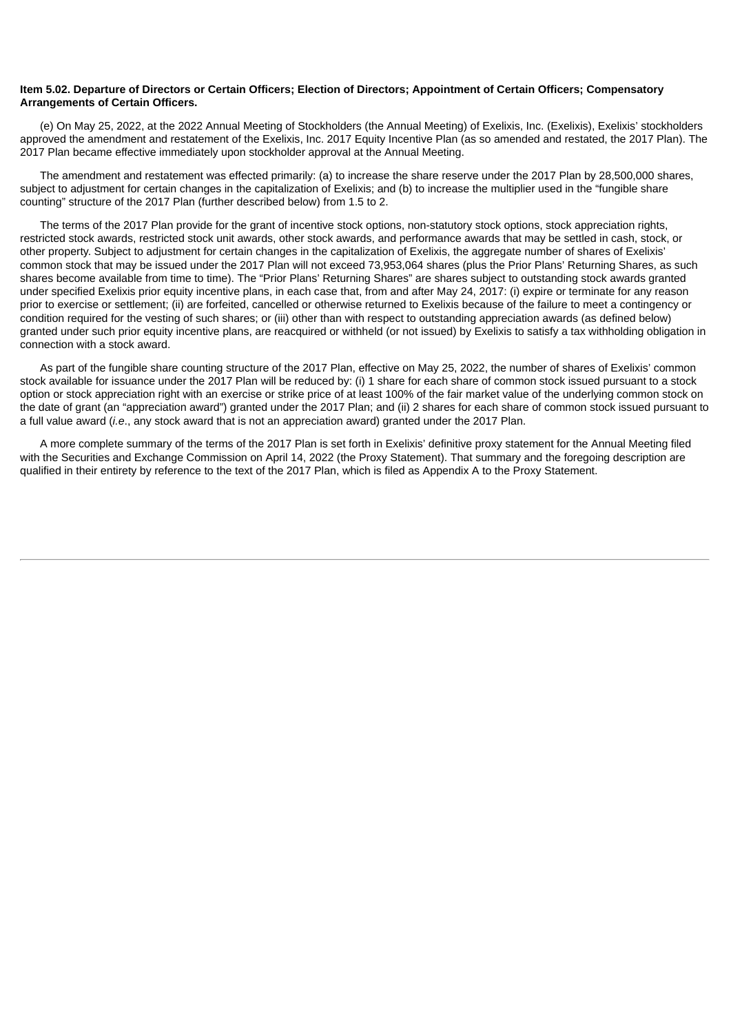#### Item 5.02. Departure of Directors or Certain Officers; Election of Directors; Appointment of Certain Officers; Compensatory **Arrangements of Certain Officers.**

(e) On May 25, 2022, at the 2022 Annual Meeting of Stockholders (the Annual Meeting) of Exelixis, Inc. (Exelixis), Exelixis' stockholders approved the amendment and restatement of the Exelixis, Inc. 2017 Equity Incentive Plan (as so amended and restated, the 2017 Plan). The 2017 Plan became effective immediately upon stockholder approval at the Annual Meeting.

The amendment and restatement was effected primarily: (a) to increase the share reserve under the 2017 Plan by 28,500,000 shares, subject to adjustment for certain changes in the capitalization of Exelixis; and (b) to increase the multiplier used in the "fungible share counting" structure of the 2017 Plan (further described below) from 1.5 to 2.

The terms of the 2017 Plan provide for the grant of incentive stock options, non-statutory stock options, stock appreciation rights, restricted stock awards, restricted stock unit awards, other stock awards, and performance awards that may be settled in cash, stock, or other property. Subject to adjustment for certain changes in the capitalization of Exelixis, the aggregate number of shares of Exelixis' common stock that may be issued under the 2017 Plan will not exceed 73,953,064 shares (plus the Prior Plans' Returning Shares, as such shares become available from time to time). The "Prior Plans' Returning Shares" are shares subject to outstanding stock awards granted under specified Exelixis prior equity incentive plans, in each case that, from and after May 24, 2017: (i) expire or terminate for any reason prior to exercise or settlement; (ii) are forfeited, cancelled or otherwise returned to Exelixis because of the failure to meet a contingency or condition required for the vesting of such shares; or (iii) other than with respect to outstanding appreciation awards (as defined below) granted under such prior equity incentive plans, are reacquired or withheld (or not issued) by Exelixis to satisfy a tax withholding obligation in connection with a stock award.

As part of the fungible share counting structure of the 2017 Plan, effective on May 25, 2022, the number of shares of Exelixis' common stock available for issuance under the 2017 Plan will be reduced by: (i) 1 share for each share of common stock issued pursuant to a stock option or stock appreciation right with an exercise or strike price of at least 100% of the fair market value of the underlying common stock on the date of grant (an "appreciation award") granted under the 2017 Plan; and (ii) 2 shares for each share of common stock issued pursuant to a full value award (*i.e*., any stock award that is not an appreciation award) granted under the 2017 Plan.

A more complete summary of the terms of the 2017 Plan is set forth in Exelixis' definitive proxy statement for the Annual Meeting filed with the Securities and Exchange Commission on April 14, 2022 (the Proxy Statement). That summary and the foregoing description are qualified in their entirety by reference to the text of the 2017 Plan, which is filed as Appendix A to the Proxy Statement.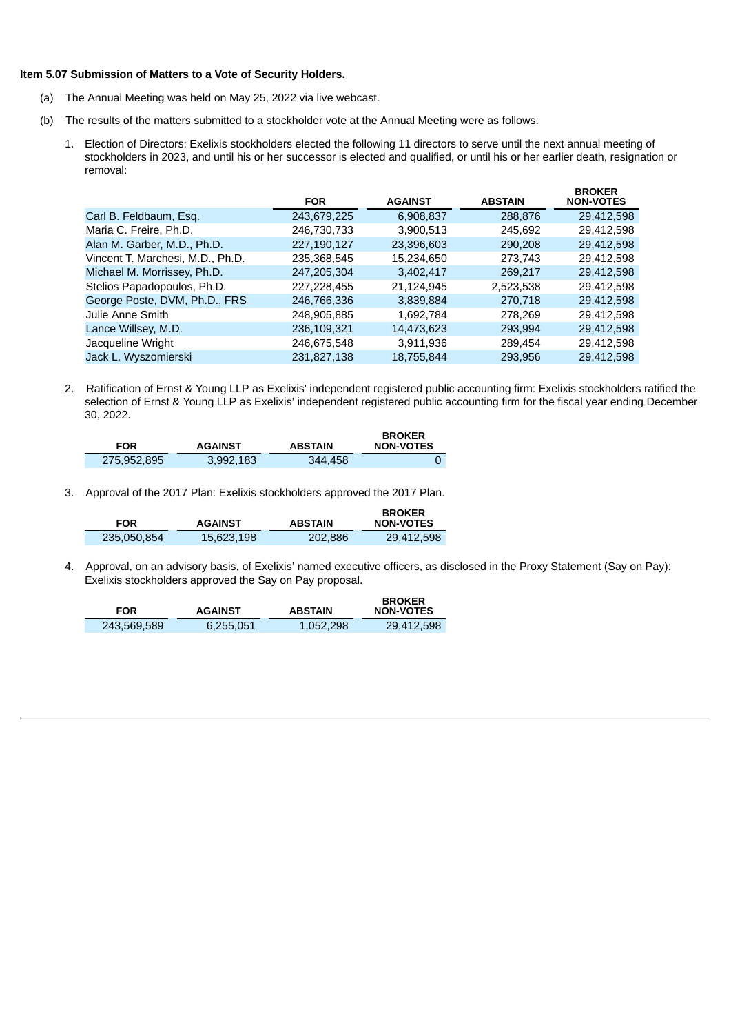#### **Item 5.07 Submission of Matters to a Vote of Security Holders.**

- (a) The Annual Meeting was held on May 25, 2022 via live webcast.
- (b) The results of the matters submitted to a stockholder vote at the Annual Meeting were as follows:
	- 1. Election of Directors: Exelixis stockholders elected the following 11 directors to serve until the next annual meeting of stockholders in 2023, and until his or her successor is elected and qualified, or until his or her earlier death, resignation or removal:

|                                  | <b>FOR</b>  | <b>AGAINST</b> | <b>ABSTAIN</b> | <b>BROKER</b><br><b>NON-VOTES</b> |
|----------------------------------|-------------|----------------|----------------|-----------------------------------|
| Carl B. Feldbaum, Esq.           | 243,679,225 | 6,908,837      | 288,876        | 29,412,598                        |
| Maria C. Freire, Ph.D.           | 246,730,733 | 3,900,513      | 245,692        | 29,412,598                        |
| Alan M. Garber, M.D., Ph.D.      | 227,190,127 | 23,396,603     | 290,208        | 29,412,598                        |
| Vincent T. Marchesi, M.D., Ph.D. | 235,368,545 | 15,234,650     | 273,743        | 29,412,598                        |
| Michael M. Morrissey, Ph.D.      | 247,205,304 | 3,402,417      | 269.217        | 29,412,598                        |
| Stelios Papadopoulos, Ph.D.      | 227,228,455 | 21,124,945     | 2,523,538      | 29,412,598                        |
| George Poste, DVM, Ph.D., FRS    | 246,766,336 | 3,839,884      | 270.718        | 29,412,598                        |
| Julie Anne Smith                 | 248,905,885 | 1,692,784      | 278,269        | 29,412,598                        |
| Lance Willsey, M.D.              | 236,109,321 | 14,473,623     | 293.994        | 29,412,598                        |
| Jacqueline Wright                | 246,675,548 | 3,911,936      | 289,454        | 29,412,598                        |
| Jack L. Wyszomierski             | 231.827.138 | 18.755.844     | 293.956        | 29.412.598                        |

2. Ratification of Ernst & Young LLP as Exelixis' independent registered public accounting firm: Exelixis stockholders ratified the selection of Ernst & Young LLP as Exelixis' independent registered public accounting firm for the fiscal year ending December 30, 2022.

| <b>FOR</b>  | <b>AGAINST</b> | <b>ABSTAIN</b> | <b>BROKER</b><br><b>NON-VOTES</b> |
|-------------|----------------|----------------|-----------------------------------|
| 275.952.895 | 3.992.183      | 344,458        |                                   |

3. Approval of the 2017 Plan: Exelixis stockholders approved the 2017 Plan.

| <b>FOR</b>  | <b>AGAINST</b> | <b>ABSTAIN</b> | <b>BROKER</b><br>NON-VOTES |
|-------------|----------------|----------------|----------------------------|
| 235.050.854 | 15.623.198     | 202.886        | 29.412.598                 |

4. Approval, on an advisory basis, of Exelixis' named executive officers, as disclosed in the Proxy Statement (Say on Pay): Exelixis stockholders approved the Say on Pay proposal.

| <b>FOR</b>  | <b>AGAINST</b> | <b>ABSTAIN</b> | <b>BROKER</b><br>NON-VOTES |
|-------------|----------------|----------------|----------------------------|
| 243.569.589 | 6,255,051      | 1.052.298      | 29,412,598                 |